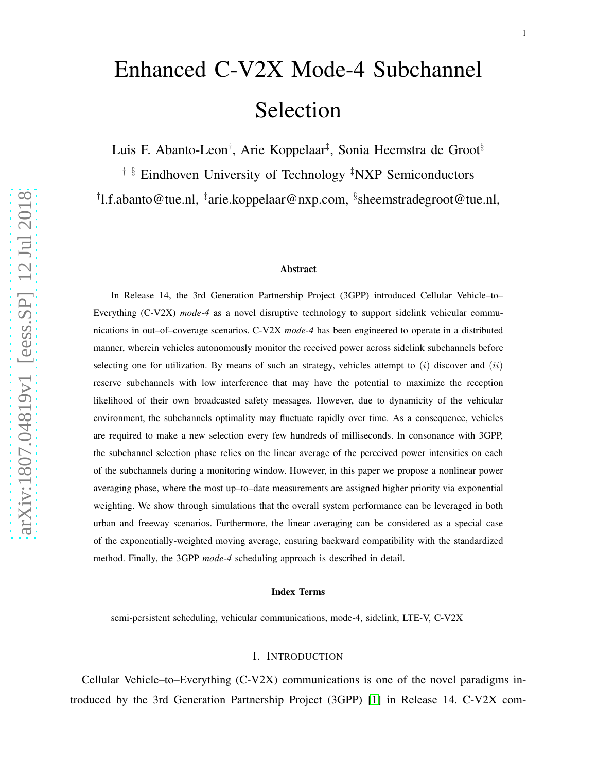# Enhanced C-V2X Mode-4 Subchannel Selection

Luis F. Abanto-Leon<sup>†</sup>, Arie Koppelaar<sup>‡</sup>, Sonia Heemstra de Groot<sup>§</sup>

† § Eindhoven University of Technology ‡NXP Semiconductors

† l.f.abanto@tue.nl, ‡ arie.koppelaar@nxp.com, § sheemstradegroot@tue.nl,

#### Abstract

In Release 14, the 3rd Generation Partnership Project (3GPP) introduced Cellular Vehicle–to– Everything (C-V2X) *mode-4* as a novel disruptive technology to support sidelink vehicular communications in out–of–coverage scenarios. C-V2X *mode-4* has been engineered to operate in a distributed manner, wherein vehicles autonomously monitor the received power across sidelink subchannels before selecting one for utilization. By means of such an strategy, vehicles attempt to  $(i)$  discover and  $(ii)$ reserve subchannels with low interference that may have the potential to maximize the reception likelihood of their own broadcasted safety messages. However, due to dynamicity of the vehicular environment, the subchannels optimality may fluctuate rapidly over time. As a consequence, vehicles are required to make a new selection every few hundreds of milliseconds. In consonance with 3GPP, the subchannel selection phase relies on the linear average of the perceived power intensities on each of the subchannels during a monitoring window. However, in this paper we propose a nonlinear power averaging phase, where the most up–to–date measurements are assigned higher priority via exponential weighting. We show through simulations that the overall system performance can be leveraged in both urban and freeway scenarios. Furthermore, the linear averaging can be considered as a special case of the exponentially-weighted moving average, ensuring backward compatibility with the standardized method. Finally, the 3GPP *mode-4* scheduling approach is described in detail.

#### Index Terms

semi-persistent scheduling, vehicular communications, mode-4, sidelink, LTE-V, C-V2X

## I. INTRODUCTION

Cellular Vehicle–to–Everything (C-V2X) communications is one of the novel paradigms introduced by the 3rd Generation Partnership Project (3GPP) [\[1\]](#page-11-0) in Release 14. C-V2X com-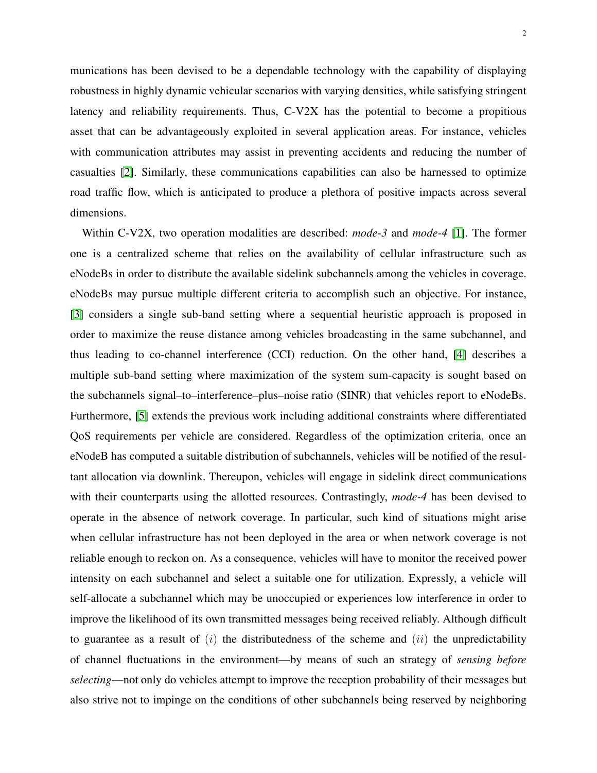2

munications has been devised to be a dependable technology with the capability of displaying robustness in highly dynamic vehicular scenarios with varying densities, while satisfying stringent latency and reliability requirements. Thus, C-V2X has the potential to become a propitious asset that can be advantageously exploited in several application areas. For instance, vehicles with communication attributes may assist in preventing accidents and reducing the number of casualties [\[2\]](#page-11-1). Similarly, these communications capabilities can also be harnessed to optimize road traffic flow, which is anticipated to produce a plethora of positive impacts across several dimensions.

Within C-V2X, two operation modalities are described: *mode-3* and *mode-4* [\[1\]](#page-11-0). The former one is a centralized scheme that relies on the availability of cellular infrastructure such as eNodeBs in order to distribute the available sidelink subchannels among the vehicles in coverage. eNodeBs may pursue multiple different criteria to accomplish such an objective. For instance, [\[3\]](#page-11-2) considers a single sub-band setting where a sequential heuristic approach is proposed in order to maximize the reuse distance among vehicles broadcasting in the same subchannel, and thus leading to co-channel interference (CCI) reduction. On the other hand, [\[4\]](#page-11-3) describes a multiple sub-band setting where maximization of the system sum-capacity is sought based on the subchannels signal–to–interference–plus–noise ratio (SINR) that vehicles report to eNodeBs. Furthermore, [\[5\]](#page-11-4) extends the previous work including additional constraints where differentiated QoS requirements per vehicle are considered. Regardless of the optimization criteria, once an eNodeB has computed a suitable distribution of subchannels, vehicles will be notified of the resultant allocation via downlink. Thereupon, vehicles will engage in sidelink direct communications with their counterparts using the allotted resources. Contrastingly, *mode-4* has been devised to operate in the absence of network coverage. In particular, such kind of situations might arise when cellular infrastructure has not been deployed in the area or when network coverage is not reliable enough to reckon on. As a consequence, vehicles will have to monitor the received power intensity on each subchannel and select a suitable one for utilization. Expressly, a vehicle will self-allocate a subchannel which may be unoccupied or experiences low interference in order to improve the likelihood of its own transmitted messages being received reliably. Although difficult to guarantee as a result of  $(i)$  the distributedness of the scheme and  $(ii)$  the unpredictability of channel fluctuations in the environment—by means of such an strategy of *sensing before selecting*—not only do vehicles attempt to improve the reception probability of their messages but also strive not to impinge on the conditions of other subchannels being reserved by neighboring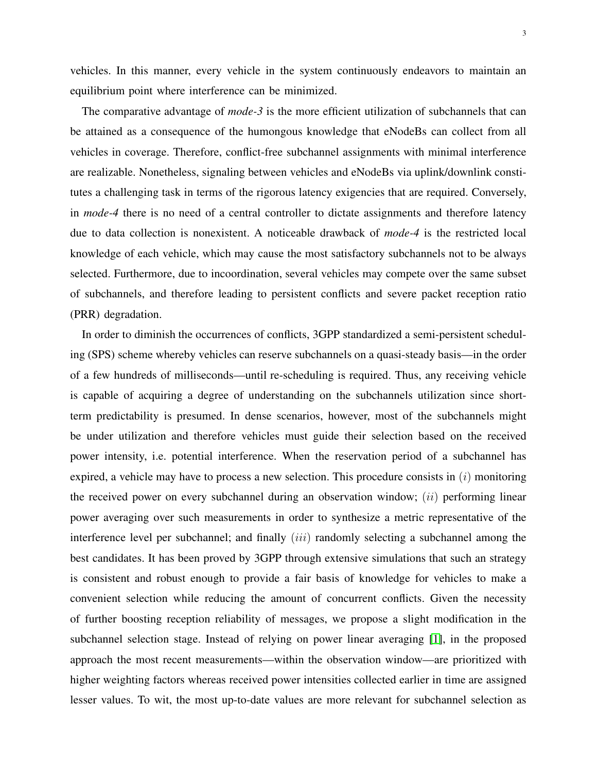vehicles. In this manner, every vehicle in the system continuously endeavors to maintain an equilibrium point where interference can be minimized.

The comparative advantage of *mode-3* is the more efficient utilization of subchannels that can be attained as a consequence of the humongous knowledge that eNodeBs can collect from all vehicles in coverage. Therefore, conflict-free subchannel assignments with minimal interference are realizable. Nonetheless, signaling between vehicles and eNodeBs via uplink/downlink constitutes a challenging task in terms of the rigorous latency exigencies that are required. Conversely, in *mode-4* there is no need of a central controller to dictate assignments and therefore latency due to data collection is nonexistent. A noticeable drawback of *mode-4* is the restricted local knowledge of each vehicle, which may cause the most satisfactory subchannels not to be always selected. Furthermore, due to incoordination, several vehicles may compete over the same subset of subchannels, and therefore leading to persistent conflicts and severe packet reception ratio (PRR) degradation.

In order to diminish the occurrences of conflicts, 3GPP standardized a semi-persistent scheduling (SPS) scheme whereby vehicles can reserve subchannels on a quasi-steady basis—in the order of a few hundreds of milliseconds—until re-scheduling is required. Thus, any receiving vehicle is capable of acquiring a degree of understanding on the subchannels utilization since shortterm predictability is presumed. In dense scenarios, however, most of the subchannels might be under utilization and therefore vehicles must guide their selection based on the received power intensity, i.e. potential interference. When the reservation period of a subchannel has expired, a vehicle may have to process a new selection. This procedure consists in  $(i)$  monitoring the received power on every subchannel during an observation window;  $(ii)$  performing linear power averaging over such measurements in order to synthesize a metric representative of the interference level per subchannel; and finally  $(iii)$  randomly selecting a subchannel among the best candidates. It has been proved by 3GPP through extensive simulations that such an strategy is consistent and robust enough to provide a fair basis of knowledge for vehicles to make a convenient selection while reducing the amount of concurrent conflicts. Given the necessity of further boosting reception reliability of messages, we propose a slight modification in the subchannel selection stage. Instead of relying on power linear averaging [\[1\]](#page-11-0), in the proposed approach the most recent measurements—within the observation window—are prioritized with higher weighting factors whereas received power intensities collected earlier in time are assigned lesser values. To wit, the most up-to-date values are more relevant for subchannel selection as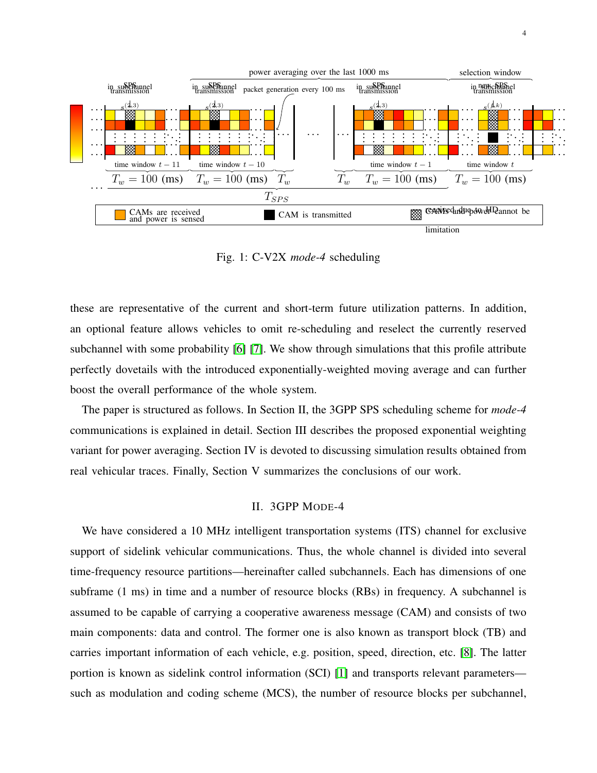<span id="page-3-0"></span>

Fig. 1: C-V2X *mode-4* scheduling

these are representative of the current and short-term future utilization patterns. In addition, an optional feature allows vehicles to omit re-scheduling and reselect the currently reserved subchannel with some probability [\[6\]](#page-11-5) [\[7\]](#page-11-6). We show through simulations that this profile attribute perfectly dovetails with the introduced exponentially-weighted moving average and can further boost the overall performance of the whole system.

The paper is structured as follows. In Section II, the 3GPP SPS scheduling scheme for *mode-4* communications is explained in detail. Section III describes the proposed exponential weighting variant for power averaging. Section IV is devoted to discussing simulation results obtained from real vehicular traces. Finally, Section V summarizes the conclusions of our work.

## II. 3GPP MODE-4

We have considered a 10 MHz intelligent transportation systems (ITS) channel for exclusive support of sidelink vehicular communications. Thus, the whole channel is divided into several time-frequency resource partitions—hereinafter called subchannels. Each has dimensions of one subframe (1 ms) in time and a number of resource blocks (RBs) in frequency. A subchannel is assumed to be capable of carrying a cooperative awareness message (CAM) and consists of two main components: data and control. The former one is also known as transport block (TB) and carries important information of each vehicle, e.g. position, speed, direction, etc. [\[8\]](#page-11-7). The latter portion is known as sidelink control information (SCI) [\[1\]](#page-11-0) and transports relevant parameters such as modulation and coding scheme (MCS), the number of resource blocks per subchannel,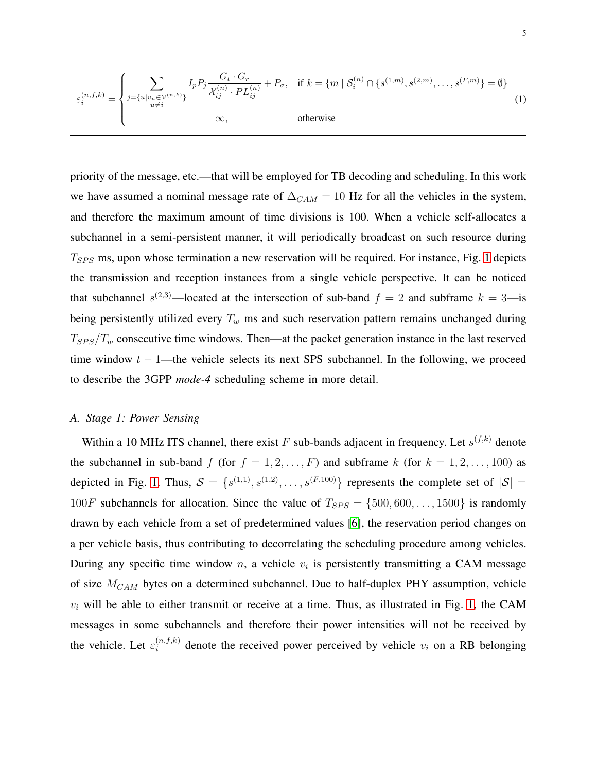<span id="page-4-0"></span>
$$
\varepsilon_i^{(n,f,k)} = \begin{cases}\n\sum_{j=\{u|v_u \in \mathcal{V}^{(n,k)}\}} I_p P_j \frac{G_t \cdot G_r}{\mathcal{X}_{ij}^{(n)} \cdot PL_{ij}^{(n)}} + P_\sigma, & \text{if } k = \{m \mid \mathcal{S}_i^{(n)} \cap \{s^{(1,m)}, s^{(2,m)}, \dots, s^{(F,m)}\} = \emptyset\} \\
& \infty, & \text{otherwise}\n\end{cases}
$$
\n(1)

priority of the message, etc.—that will be employed for TB decoding and scheduling. In this work we have assumed a nominal message rate of  $\Delta_{CAM} = 10$  Hz for all the vehicles in the system, and therefore the maximum amount of time divisions is 100. When a vehicle self-allocates a subchannel in a semi-persistent manner, it will periodically broadcast on such resource during  $T_{SPS}$  ms, upon whose termination a new reservation will be required. For instance, Fig. [1](#page-3-0) depicts the transmission and reception instances from a single vehicle perspective. It can be noticed that subchannel  $s^{(2,3)}$ —located at the intersection of sub-band  $f = 2$  and subframe  $k = 3$ —is being persistently utilized every  $T_w$  ms and such reservation pattern remains unchanged during  $T_{SPS}/T_{w}$  consecutive time windows. Then—at the packet generation instance in the last reserved time window  $t - 1$ —the vehicle selects its next SPS subchannel. In the following, we proceed to describe the 3GPP *mode-4* scheduling scheme in more detail.

# *A. Stage 1: Power Sensing*

Within a 10 MHz ITS channel, there exist F sub-bands adjacent in frequency. Let  $s^{(f,k)}$  denote the subchannel in sub-band f (for  $f = 1, 2, ..., F$ ) and subframe k (for  $k = 1, 2, ..., 100$ ) as depicted in Fig. [1.](#page-3-0) Thus,  $S = \{s^{(1,1)}, s^{(1,2)}, \ldots, s^{(F,100)}\}$  represents the complete set of  $|S|$  = 100F subchannels for allocation. Since the value of  $T_{SPS} = \{500, 600, \ldots, 1500\}$  is randomly drawn by each vehicle from a set of predetermined values [\[6\]](#page-11-5), the reservation period changes on a per vehicle basis, thus contributing to decorrelating the scheduling procedure among vehicles. During any specific time window n, a vehicle  $v_i$  is persistently transmitting a CAM message of size  $M_{CAM}$  bytes on a determined subchannel. Due to half-duplex PHY assumption, vehicle  $v_i$  will be able to either transmit or receive at a time. Thus, as illustrated in Fig. [1,](#page-3-0) the CAM messages in some subchannels and therefore their power intensities will not be received by the vehicle. Let  $\varepsilon_i^{(n,f,k)}$  $\sum_{i=1}^{(n,j,k)}$  denote the received power perceived by vehicle  $v_i$  on a RB belonging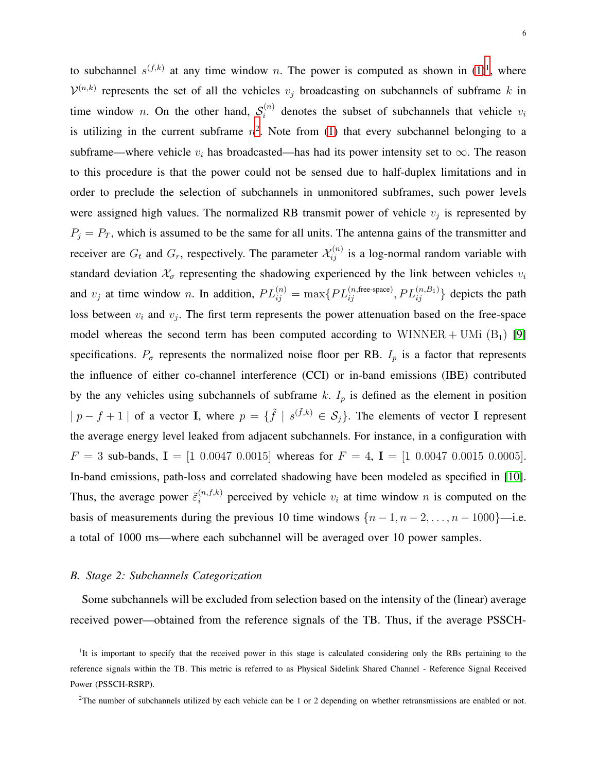to subchannel  $s^{(f,k)}$  at any time window n. The power is computed as shown in  $(1)^{1}$  $(1)^{1}$  $(1)^{1}$ , where  $\mathcal{V}^{(n,k)}$  represents the set of all the vehicles  $v_j$  broadcasting on subchannels of subframe k in time window *n*. On the other hand,  $S_i^{(n)}$  $v_i^{(n)}$  denotes the subset of subchannels that vehicle  $v_i$ is utilizing in the current subframe  $n^2$  $n^2$ . Note from [\(1\)](#page-4-0) that every subchannel belonging to a subframe—where vehicle  $v_i$  has broadcasted—has had its power intensity set to  $\infty$ . The reason to this procedure is that the power could not be sensed due to half-duplex limitations and in order to preclude the selection of subchannels in unmonitored subframes, such power levels were assigned high values. The normalized RB transmit power of vehicle  $v_j$  is represented by  $P_j = P_T$ , which is assumed to be the same for all units. The antenna gains of the transmitter and receiver are  $G_t$  and  $G_r$ , respectively. The parameter  $\mathcal{X}_{ij}^{(n)}$  is a log-normal random variable with standard deviation  $\mathcal{X}_{\sigma}$  representing the shadowing experienced by the link between vehicles  $v_i$ and  $v_j$  at time window n. In addition,  $PL_{ij}^{(n)} = \max\{PL_{ij}^{(n, \text{free-space})}, PL_{ij}^{(n, B_1)}\}$  depicts the path loss between  $v_i$  and  $v_j$ . The first term represents the power attenuation based on the free-space model whereas the second term has been computed according to WINNER + UMi  $(B_1)$  [\[9\]](#page-11-8) specifications.  $P_{\sigma}$  represents the normalized noise floor per RB.  $I_p$  is a factor that represents the influence of either co-channel interference (CCI) or in-band emissions (IBE) contributed by the any vehicles using subchannels of subframe  $k$ .  $I_p$  is defined as the element in position  $|p - f + 1|$  of a vector I, where  $p = \{\tilde{f} \mid s^{(\tilde{f},k)} \in S_j\}$ . The elements of vector I represent the average energy level leaked from adjacent subchannels. For instance, in a configuration with  $F = 3$  sub-bands,  $I = [1 \ 0.0047 \ 0.0015]$  whereas for  $F = 4$ ,  $I = [1 \ 0.0047 \ 0.0015 \ 0.0005]$ . In-band emissions, path-loss and correlated shadowing have been modeled as specified in [\[10\]](#page-11-9). Thus, the average power  $\tilde{\varepsilon}_i^{(n,f,k)}$  $i^{(n,j,k)}$  perceived by vehicle  $v_i$  at time window n is computed on the basis of measurements during the previous 10 time windows  $\{n-1, n-2, \ldots, n-1000\}$ —i.e. a total of 1000 ms—where each subchannel will be averaged over 10 power samples.

#### *B. Stage 2: Subchannels Categorization*

Some subchannels will be excluded from selection based on the intensity of the (linear) average received power—obtained from the reference signals of the TB. Thus, if the average PSSCH-

<span id="page-5-0"></span><sup>&</sup>lt;sup>1</sup>It is important to specify that the received power in this stage is calculated considering only the RBs pertaining to the reference signals within the TB. This metric is referred to as Physical Sidelink Shared Channel - Reference Signal Received Power (PSSCH-RSRP).

<span id="page-5-1"></span><sup>&</sup>lt;sup>2</sup>The number of subchannels utilized by each vehicle can be 1 or 2 depending on whether retransmissions are enabled or not.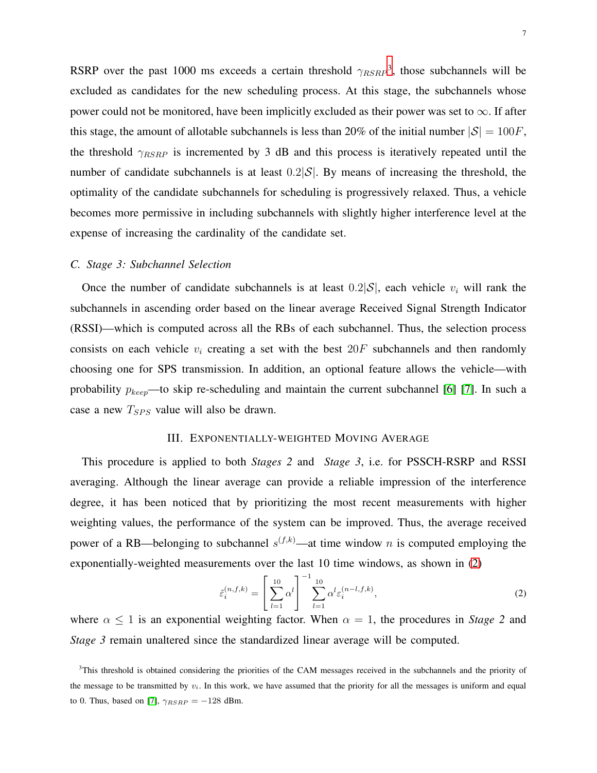RSRP over the past 1000 ms exceeds a certain threshold  $\gamma_{RSRP}^3$  $\gamma_{RSRP}^3$ , those subchannels will be excluded as candidates for the new scheduling process. At this stage, the subchannels whose power could not be monitored, have been implicitly excluded as their power was set to  $\infty$ . If after this stage, the amount of allotable subchannels is less than 20% of the initial number  $|S| = 100F$ , the threshold  $\gamma_{RSRP}$  is incremented by 3 dB and this process is iteratively repeated until the number of candidate subchannels is at least  $0.2|\mathcal{S}|$ . By means of increasing the threshold, the optimality of the candidate subchannels for scheduling is progressively relaxed. Thus, a vehicle becomes more permissive in including subchannels with slightly higher interference level at the expense of increasing the cardinality of the candidate set.

## *C. Stage 3: Subchannel Selection*

Once the number of candidate subchannels is at least  $0.2|\mathcal{S}|$ , each vehicle  $v_i$  will rank the subchannels in ascending order based on the linear average Received Signal Strength Indicator (RSSI)—which is computed across all the RBs of each subchannel. Thus, the selection process consists on each vehicle  $v_i$  creating a set with the best  $20F$  subchannels and then randomly choosing one for SPS transmission. In addition, an optional feature allows the vehicle—with probability  $p_{keep}$ —to skip re-scheduling and maintain the current subchannel [\[6\]](#page-11-5) [\[7\]](#page-11-6). In such a case a new  $T_{SPS}$  value will also be drawn.

### III. EXPONENTIALLY-WEIGHTED MOVING AVERAGE

This procedure is applied to both *Stages 2* and *Stage 3*, i.e. for PSSCH-RSRP and RSSI averaging. Although the linear average can provide a reliable impression of the interference degree, it has been noticed that by prioritizing the most recent measurements with higher weighting values, the performance of the system can be improved. Thus, the average received power of a RB—belonging to subchannel  $s^{(f,k)}$ —at time window n is computed employing the exponentially-weighted measurements over the last 10 time windows, as shown in [\(2\)](#page-6-1)

<span id="page-6-1"></span>
$$
\tilde{\varepsilon}_i^{(n,f,k)} = \left[\sum_{l=1}^{10} \alpha^l\right]^{-1} \sum_{l=1}^{10} \alpha^l \varepsilon_i^{(n-l,f,k)},\tag{2}
$$

where  $\alpha \leq 1$  is an exponential weighting factor. When  $\alpha = 1$ , the procedures in *Stage 2* and *Stage 3* remain unaltered since the standardized linear average will be computed.

<span id="page-6-0"></span><sup>&</sup>lt;sup>3</sup>This threshold is obtained considering the priorities of the CAM messages received in the subchannels and the priority of the message to be transmitted by  $v_i$ . In this work, we have assumed that the priority for all the messages is uniform and equal to 0. Thus, based on [\[7\]](#page-11-6),  $\gamma_{RSRP} = -128$  dBm.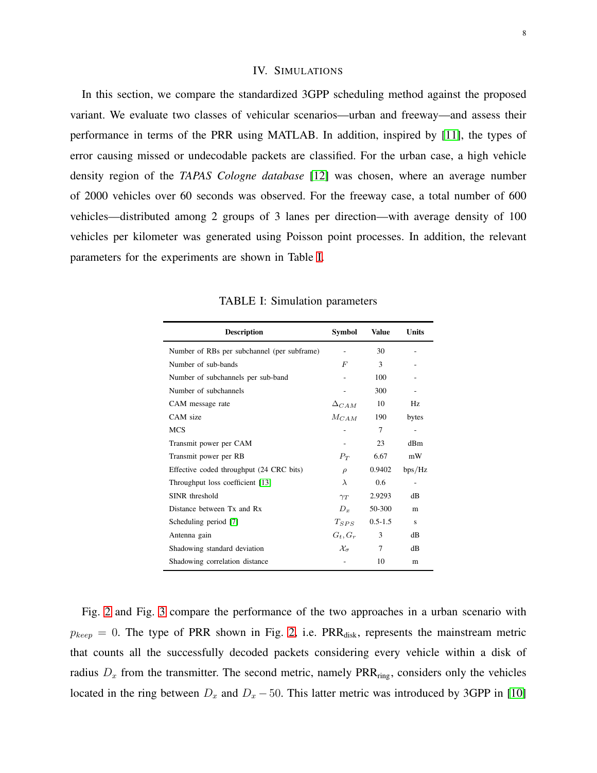## IV. SIMULATIONS

In this section, we compare the standardized 3GPP scheduling method against the proposed variant. We evaluate two classes of vehicular scenarios—urban and freeway—and assess their performance in terms of the PRR using MATLAB. In addition, inspired by [\[11\]](#page-11-10), the types of error causing missed or undecodable packets are classified. For the urban case, a high vehicle density region of the *TAPAS Cologne database* [\[12\]](#page-11-11) was chosen, where an average number of 2000 vehicles over 60 seconds was observed. For the freeway case, a total number of 600 vehicles—distributed among 2 groups of 3 lanes per direction—with average density of 100 vehicles per kilometer was generated using Poisson point processes. In addition, the relevant parameters for the experiments are shown in Table [I.](#page-7-0)

<span id="page-7-0"></span>

| <b>Description</b>                          | Symbol                 | <b>Value</b> | <b>Units</b> |
|---------------------------------------------|------------------------|--------------|--------------|
| Number of RBs per subchannel (per subframe) |                        | 30           |              |
| Number of sub-bands                         | $\,F$                  | 3            |              |
| Number of subchannels per sub-band          |                        | 100          |              |
| Number of subchannels                       |                        | 300          |              |
| CAM message rate                            | $\Delta_{CAM}$         | 10           | Hz           |
| CAM size                                    | $M_{CAM}$              | 190          | bytes        |
| <b>MCS</b>                                  |                        | 7            |              |
| Transmit power per CAM                      |                        | 23           | dBm          |
| Transmit power per RB                       | $P_T$                  | 6.67         | mW           |
| Effective coded throughput (24 CRC bits)    | $\rho$                 | 0.9402       | bps/Hz       |
| Throughput loss coefficient [13]            | $\lambda$              | 0.6          |              |
| SINR threshold                              | $\gamma_T$             | 2.9293       | dB           |
| Distance between Tx and Rx                  | $D_x$                  | 50-300       | m            |
| Scheduling period [7]                       | $T_{SPS}$              | $0.5 - 1.5$  | s            |
| Antenna gain                                | $G_t, G_r$             | 3            | dB           |
| Shadowing standard deviation                | $\mathcal{X}_{\sigma}$ | 7            | dB           |
| Shadowing correlation distance              |                        | 10           | m            |

TABLE I: Simulation parameters

Fig. [2](#page-8-0) and Fig. [3](#page-8-1) compare the performance of the two approaches in a urban scenario with  $p_{keep} = 0$ . The type of PRR shown in Fig. [2,](#page-8-0) i.e. PRR<sub>disk</sub>, represents the mainstream metric that counts all the successfully decoded packets considering every vehicle within a disk of radius  $D_x$  from the transmitter. The second metric, namely  $PRR_{ring}$ , considers only the vehicles located in the ring between  $D_x$  and  $D_x - 50$ . This latter metric was introduced by 3GPP in [\[10\]](#page-11-9)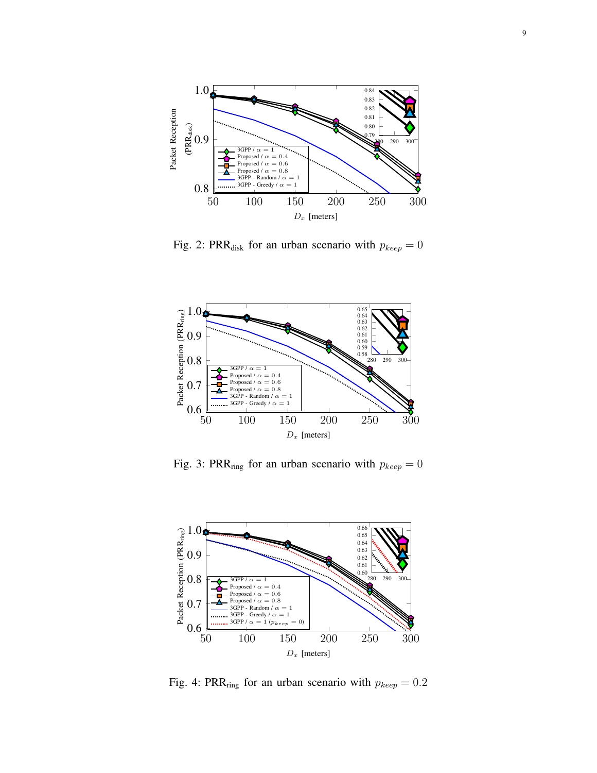<span id="page-8-0"></span>

Fig. 2: PRR<sub>disk</sub> for an urban scenario with  $p_{keep} = 0$ 

<span id="page-8-1"></span>

Fig. 3: PRR<sub>ring</sub> for an urban scenario with  $p_{keep} = 0$ 

<span id="page-8-2"></span>

Fig. 4: PRR<sub>ring</sub> for an urban scenario with  $p_{keep} = 0.2$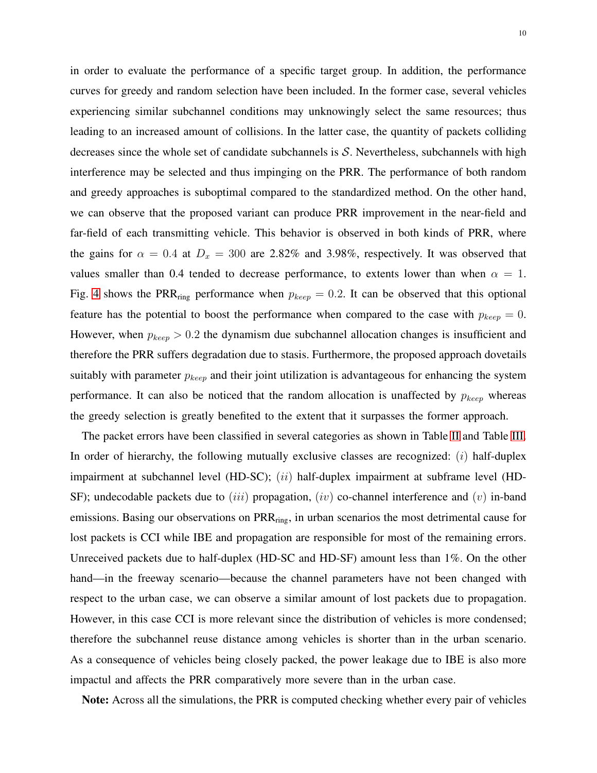in order to evaluate the performance of a specific target group. In addition, the performance curves for greedy and random selection have been included. In the former case, several vehicles experiencing similar subchannel conditions may unknowingly select the same resources; thus leading to an increased amount of collisions. In the latter case, the quantity of packets colliding decreases since the whole set of candidate subchannels is S. Nevertheless, subchannels with high interference may be selected and thus impinging on the PRR. The performance of both random and greedy approaches is suboptimal compared to the standardized method. On the other hand, we can observe that the proposed variant can produce PRR improvement in the near-field and far-field of each transmitting vehicle. This behavior is observed in both kinds of PRR, where the gains for  $\alpha = 0.4$  at  $D_x = 300$  are 2.82% and 3.98%, respectively. It was observed that values smaller than 0.4 tended to decrease performance, to extents lower than when  $\alpha = 1$ . Fig. [4](#page-8-2) shows the PRR<sub>ring</sub> performance when  $p_{keep} = 0.2$ . It can be observed that this optional feature has the potential to boost the performance when compared to the case with  $p_{keep} = 0$ . However, when  $p_{keep} > 0.2$  the dynamism due subchannel allocation changes is insufficient and therefore the PRR suffers degradation due to stasis. Furthermore, the proposed approach dovetails suitably with parameter  $p_{keep}$  and their joint utilization is advantageous for enhancing the system performance. It can also be noticed that the random allocation is unaffected by  $p_{keep}$  whereas the greedy selection is greatly benefited to the extent that it surpasses the former approach.

The packet errors have been classified in several categories as shown in Table [II](#page-10-0) and Table [III.](#page-10-1) In order of hierarchy, the following mutually exclusive classes are recognized:  $(i)$  half-duplex impairment at subchannel level (HD-SC); (ii) half-duplex impairment at subframe level (HD-SF); undecodable packets due to *(iii)* propagation, *(iv)* co-channel interference and *(v)* in-band emissions. Basing our observations on PRR<sub>ring</sub>, in urban scenarios the most detrimental cause for lost packets is CCI while IBE and propagation are responsible for most of the remaining errors. Unreceived packets due to half-duplex (HD-SC and HD-SF) amount less than 1%. On the other hand—in the freeway scenario—because the channel parameters have not been changed with respect to the urban case, we can observe a similar amount of lost packets due to propagation. However, in this case CCI is more relevant since the distribution of vehicles is more condensed; therefore the subchannel reuse distance among vehicles is shorter than in the urban scenario. As a consequence of vehicles being closely packed, the power leakage due to IBE is also more impactul and affects the PRR comparatively more severe than in the urban case.

Note: Across all the simulations, the PRR is computed checking whether every pair of vehicles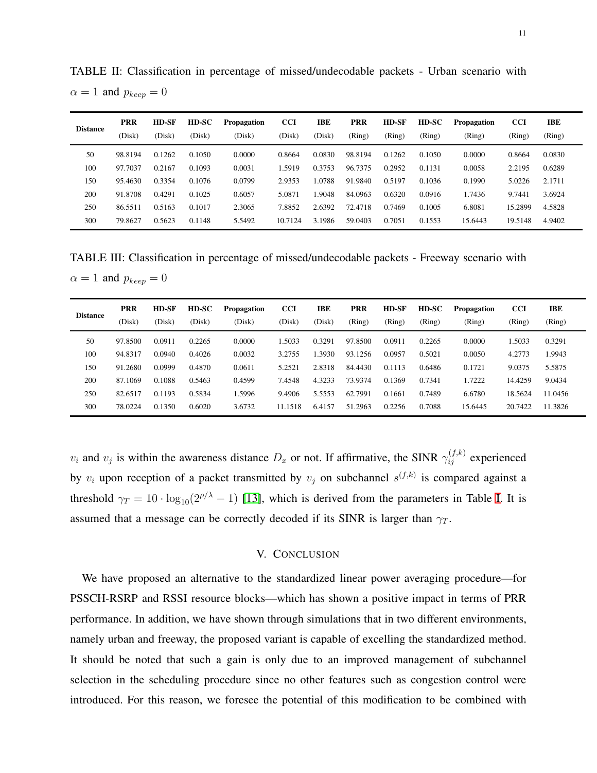| <b>Distance</b> | <b>PRR</b><br>(Disk) | HD-SF<br>(Disk) | HD-SC<br>(Disk) | <b>Propagation</b><br>(Disk) | <b>CCI</b><br>(Disk) | IBE<br>(Disk) | <b>PRR</b><br>(Ring) | HD-SF<br>(Ring) | HD-SC<br>(Ring) | <b>Propagation</b><br>(Ring) | <b>CCI</b><br>(Ring) | IBE<br>(Ring) |
|-----------------|----------------------|-----------------|-----------------|------------------------------|----------------------|---------------|----------------------|-----------------|-----------------|------------------------------|----------------------|---------------|
| 50              | 98.8194              | 0.1262          | 0.1050          | 0.0000                       | 0.8664               | 0.0830        | 98.8194              | 0.1262          | 0.1050          | 0.0000                       | 0.8664               | 0.0830        |
| 100             | 97.7037              | 0.2167          | 0.1093          | 0.0031                       | 1.5919               | 0.3753        | 96.7375              | 0.2952          | 0.1131          | 0.0058                       | 2.2195               | 0.6289        |
| 150             | 95.4630              | 0.3354          | 0.1076          | 0.0799                       | 2.9353               | 1.0788        | 91.9840              | 0.5197          | 0.1036          | 0.1990                       | 5.0226               | 2.1711        |
| 200             | 91.8708              | 0.4291          | 0.1025          | 0.6057                       | 5.0871               | 1.9048        | 84.0963              | 0.6320          | 0.0916          | 1.7436                       | 9.7441               | 3.6924        |
| 250             | 86.5511              | 0.5163          | 0.1017          | 2.3065                       | 7.8852               | 2.6392        | 72.4718              | 0.7469          | 0.1005          | 6.8081                       | 15.2899              | 4.5828        |
| 300             | 79.8627              | 0.5623          | 0.1148          | 5.5492                       | 10.7124              | 3.1986        | 59.0403              | 0.7051          | 0.1553          | 15.6443                      | 19.5148              | 4.9402        |

<span id="page-10-0"></span>TABLE II: Classification in percentage of missed/undecodable packets - Urban scenario with  $\alpha = 1$  and  $p_{keep} = 0$ 

<span id="page-10-1"></span>TABLE III: Classification in percentage of missed/undecodable packets - Freeway scenario with  $\alpha = 1$  and  $p_{keep} = 0$ 

| <b>Distance</b> | <b>PRR</b><br>(Disk) | HD-SF<br>(Disk) | HD-SC<br>(Disk) | <b>Propagation</b><br>(Disk) | <b>CCI</b><br>(Disk) | IBE<br>(Disk) | <b>PRR</b><br>(Ring) | <b>HD-SF</b><br>(Ring) | HD-SC<br>(Ring) | <b>Propagation</b><br>(Ring) | <b>CCI</b><br>(Ring) | IBE<br>(Ring) |
|-----------------|----------------------|-----------------|-----------------|------------------------------|----------------------|---------------|----------------------|------------------------|-----------------|------------------------------|----------------------|---------------|
| 50              | 97.8500              | 0.0911          | 0.2265          | 0.0000                       | .5033                | 0.3291        | 97.8500              | 0.0911                 | 0.2265          | 0.0000                       | 1.5033               | 0.3291        |
| 100             | 94.8317              | 0.0940          | 0.4026          | 0.0032                       | 3.2755               | 1.3930        | 93.1256              | 0.0957                 | 0.5021          | 0.0050                       | 4.2773               | 1.9943        |
| 150             | 91.2680              | 0.0999          | 0.4870          | 0.0611                       | 5.2521               | 2.8318        | 84.4430              | 0.1113                 | 0.6486          | 0.1721                       | 9.0375               | 5.5875        |
| 200             | 87.1069              | 0.1088          | 0.5463          | 0.4599                       | 7.4548               | 4.3233        | 73.9374              | 0.1369                 | 0.7341          | 1.7222                       | 14.4259              | 9.0434        |
| 250             | 82.6517              | 0.1193          | 0.5834          | 1.5996                       | 9.4906               | 5.5553        | 62.7991              | 0.1661                 | 0.7489          | 6.6780                       | 18.5624              | 11.0456       |
| 300             | 78.0224              | 0.1350          | 0.6020          | 3.6732                       | 11.1518              | 6.4157        | 51.2963              | 0.2256                 | 0.7088          | 15.6445                      | 20.7422              | 11.3826       |

 $v_i$  and  $v_j$  is within the awareness distance  $D_x$  or not. If affirmative, the SINR  $\gamma_{ij}^{(f,k)}$  experienced by  $v_i$  upon reception of a packet transmitted by  $v_j$  on subchannel  $s^{(f,k)}$  is compared against a threshold  $\gamma_T = 10 \cdot \log_{10}(2^{\rho/\lambda} - 1)$  [\[13\]](#page-11-12), which is derived from the parameters in Table [I.](#page-7-0) It is assumed that a message can be correctly decoded if its SINR is larger than  $\gamma_T$ .

## V. CONCLUSION

We have proposed an alternative to the standardized linear power averaging procedure—for PSSCH-RSRP and RSSI resource blocks—which has shown a positive impact in terms of PRR performance. In addition, we have shown through simulations that in two different environments, namely urban and freeway, the proposed variant is capable of excelling the standardized method. It should be noted that such a gain is only due to an improved management of subchannel selection in the scheduling procedure since no other features such as congestion control were introduced. For this reason, we foresee the potential of this modification to be combined with